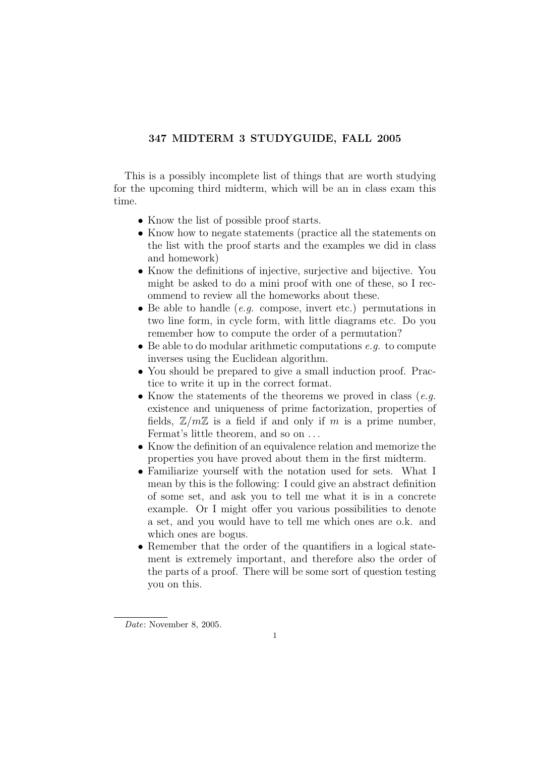## 347 MIDTERM 3 STUDYGUIDE, FALL 2005

This is a possibly incomplete list of things that are worth studying for the upcoming third midterm, which will be an in class exam this time.

- Know the list of possible proof starts.
- Know how to negate statements (practice all the statements on the list with the proof starts and the examples we did in class and homework)
- Know the definitions of injective, surjective and bijective. You might be asked to do a mini proof with one of these, so I recommend to review all the homeworks about these.
- Be able to handle  $(e,q.$  compose, invert etc.) permutations in two line form, in cycle form, with little diagrams etc. Do you remember how to compute the order of a permutation?
- Be able to do modular arithmetic computations  $e, q$ , to compute inverses using the Euclidean algorithm.
- You should be prepared to give a small induction proof. Practice to write it up in the correct format.
- Know the statements of the theorems we proved in class  $(e.g.,\)$ existence and uniqueness of prime factorization, properties of fields,  $\mathbb{Z}/m\mathbb{Z}$  is a field if and only if m is a prime number, Fermat's little theorem, and so on . . .
- Know the definition of an equivalence relation and memorize the properties you have proved about them in the first midterm.
- Familiarize yourself with the notation used for sets. What I mean by this is the following: I could give an abstract definition of some set, and ask you to tell me what it is in a concrete example. Or I might offer you various possibilities to denote a set, and you would have to tell me which ones are o.k. and which ones are bogus.
- Remember that the order of the quantifiers in a logical statement is extremely important, and therefore also the order of the parts of a proof. There will be some sort of question testing you on this.

Date: November 8, 2005.